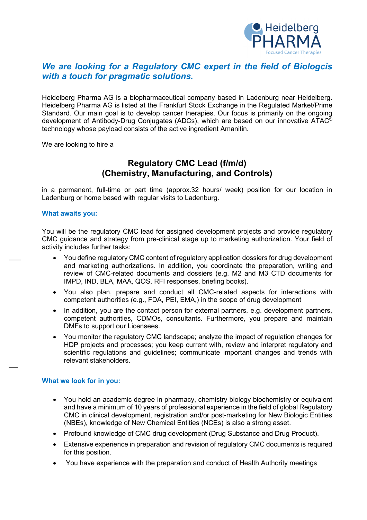

## *We are looking for a Regulatory CMC expert in the field of Biologcis with a touch for pragmatic solutions.*

Heidelberg Pharma AG is a biopharmaceutical company based in Ladenburg near Heidelberg. Heidelberg Pharma AG is listed at the Frankfurt Stock Exchange in the Regulated Market/Prime Standard. Our main goal is to develop cancer therapies. Our focus is primarily on the ongoing development of Antibody-Drug Conjugates (ADCs), which are based on our innovative ATAC<sup>®</sup> technology whose payload consists of the active ingredient Amanitin.

We are looking to hire a

# **Regulatory CMC Lead (f/m/d) (Chemistry, Manufacturing, and Controls)**

in a permanent, full-time or part time (approx.32 hours/ week) position for our location in Ladenburg or home based with regular visits to Ladenburg.

### **What awaits you:**

You will be the regulatory CMC lead for assigned development projects and provide regulatory CMC guidance and strategy from pre-clinical stage up to marketing authorization. Your field of activity includes further tasks:

- You define regulatory CMC content of regulatory application dossiers for drug development and marketing authorizations. In addition, you coordinate the preparation, writing and review of CMC-related documents and dossiers (e.g. M2 and M3 CTD documents for IMPD, IND, BLA, MAA, QOS, RFI responses, briefing books).
- You also plan, prepare and conduct all CMC-related aspects for interactions with competent authorities (e.g., FDA, PEI, EMA,) in the scope of drug development
- In addition, you are the contact person for external partners, e.g. development partners, competent authorities, CDMOs, consultants. Furthermore, you prepare and maintain DMFs to support our Licensees.
- You monitor the regulatory CMC landscape; analyze the impact of regulation changes for HDP projects and processes; you keep current with, review and interpret regulatory and scientific regulations and guidelines; communicate important changes and trends with relevant stakeholders.

### **What we look for in you:**

- You hold an academic degree in pharmacy, chemistry biology biochemistry or equivalent and have a minimum of 10 years of professional experience in the field of global Regulatory CMC in clinical development, registration and/or post-marketing for New Biologic Entities (NBEs), knowledge of New Chemical Entities (NCEs) is also a strong asset.
- Profound knowledge of CMC drug development (Drug Substance and Drug Product).
- Extensive experience in preparation and revision of regulatory CMC documents is required for this position.
- You have experience with the preparation and conduct of Health Authority meetings